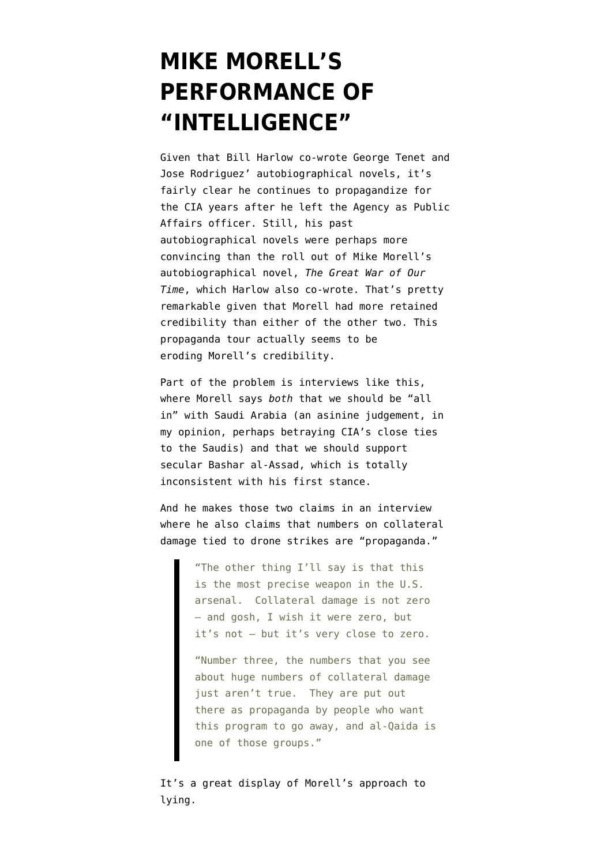## **[MIKE MORELL'S](https://www.emptywheel.net/2015/05/18/mike-morells-performance-of-intelligence/) [PERFORMANCE OF](https://www.emptywheel.net/2015/05/18/mike-morells-performance-of-intelligence/) ["INTELLIGENCE"](https://www.emptywheel.net/2015/05/18/mike-morells-performance-of-intelligence/)**

Given that Bill Harlow co-wrote George Tenet and Jose Rodriguez' autobiographical novels, it's fairly clear he continues to propagandize for the CIA years after he left the Agency as Public Affairs officer. Still, his past autobiographical novels were perhaps more convincing than the roll out of Mike Morell's autobiographical novel, *The Great War of Our Time*, which Harlow also co-wrote. That's pretty remarkable given that Morell had more retained credibility than either of the other two. This propaganda tour actually seems to be eroding Morell's credibility.

Part of the problem is interviews like [this](http://www.voanews.com/content/former-cia-official-reflects-tangle-wars-syria/2773257.html), where Morell says *both* that we should be "all in" with Saudi Arabia (an asinine judgement, in my opinion, perhaps betraying CIA's close ties to the Saudis) and that we should support secular Bashar al-Assad, which is totally inconsistent with his first stance.

And he makes those two claims in an interview where he also claims that numbers on collateral damage tied to drone strikes are "propaganda."

> "The other thing I'll say is that this is the most precise weapon in the U.S. arsenal. Collateral damage is not zero — and gosh, I wish it were zero, but it's not — but it's very close to zero.

"Number three, the numbers that you see about huge numbers of collateral damage just aren't true. They are put out there as propaganda by people who want this program to go away, and al-Qaida is one of those groups."

It's a great display of Morell's approach to lying.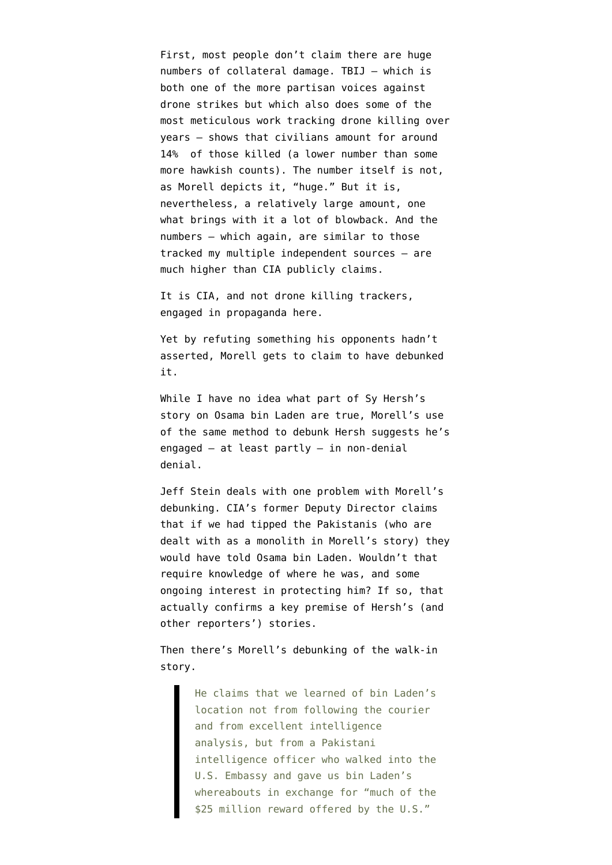First, most people don't claim there are huge numbers of collateral damage. [TBIJ](http://www.thebureauinvestigates.com/category/projects/drones/drones-graphs/) — which is both one of the more partisan voices against drone strikes but which also does some of the most meticulous work tracking drone killing over years — shows that civilians amount for around 14% of those killed (a lower number than some more hawkish counts). The number itself is not, as Morell depicts it, "huge." But it is, nevertheless, a relatively large amount, one what brings with it a lot of blowback. And the numbers — which again, are similar to those tracked my multiple independent sources — are much higher than CIA publicly claims.

It is CIA, and not drone killing trackers, engaged in propaganda here.

Yet by refuting something his opponents hadn't asserted, Morell gets to claim to have debunked it.

While I have no idea what part of [Sy Hersh's](http://www.lrb.co.uk/v37/n10/seymour-m-hersh/the-killing-of-osama-bin-laden) [story](http://www.lrb.co.uk/v37/n10/seymour-m-hersh/the-killing-of-osama-bin-laden) on Osama bin Laden are true, [Morell's use](http://www.wsj.com/articles/separating-fact-from-seymour-hershs-fiction-about-bin-laden-1431714139) of the same method to debunk Hersh suggests he's engaged — at least partly — in non-denial denial.

Jeff Stein [deals with](http://www.newsweek.com/hersh-furor-pakistan-perfidy-332674) one problem with Morell's debunking. CIA's former Deputy Director claims that if we had tipped the Pakistanis (who are dealt with as a monolith in Morell's story) they would have told Osama bin Laden. Wouldn't that require knowledge of where he was, and some ongoing interest in protecting him? If so, that actually confirms a key premise of Hersh's (and other reporters') stories.

Then there's Morell's debunking of the walk-in story.

> He claims that we learned of bin Laden's location not from following the courier and from excellent intelligence analysis, but from a Pakistani intelligence officer who walked into the U.S. Embassy and gave us bin Laden's whereabouts in exchange for "much of the \$25 million reward offered by the U.S."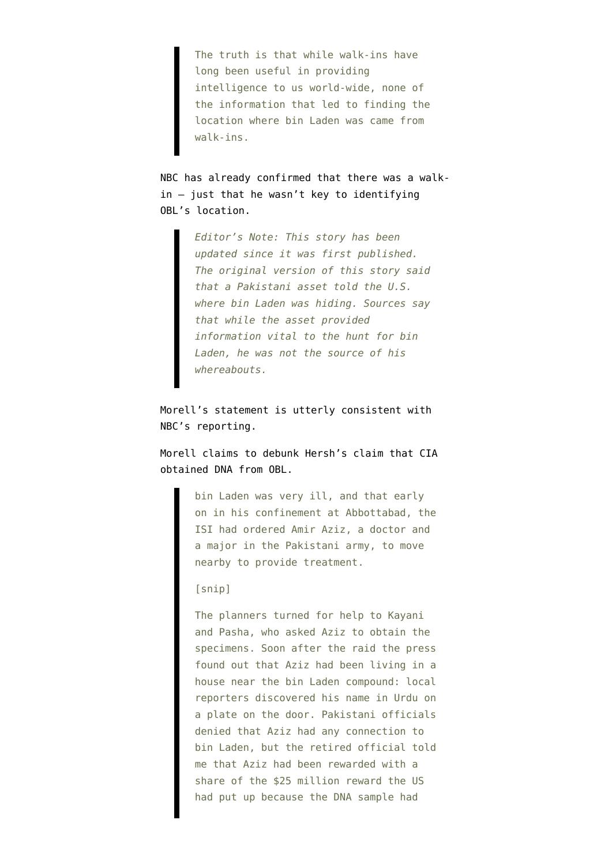The truth is that while walk-ins have long been useful in providing intelligence to us world-wide, none of the information that led to finding the location where bin Laden was came from walk-ins.

NBC has already [confirmed](http://www.nbcnews.com/news/world/pakistanis-knew-where-bin-laden-was-say-us-sources-n357306) that there was a walkin — just that he wasn't key to identifying OBL's location.

> *Editor's Note: This story has been updated since it was first published. The original version of this story said that a Pakistani asset told the U.S. where bin Laden was hiding. Sources say that while the asset provided information vital to the hunt for bin Laden, he was not the source of his whereabouts.*

Morell's statement is utterly consistent with NBC's reporting.

Morell claims to debunk Hersh's claim that CIA obtained DNA from OBL.

> bin Laden was very ill, and that early on in his confinement at Abbottabad, the ISI had ordered Amir Aziz, a doctor and a major in the Pakistani army, to move nearby to provide treatment.

## [snip]

The planners turned for help to Kayani and Pasha, who asked Aziz to obtain the specimens. Soon after the raid the press found out that Aziz had been living in a house near the bin Laden compound: local reporters discovered his name in Urdu on a plate on the door. Pakistani officials denied that Aziz had any connection to bin Laden, but the retired official told me that Aziz had been rewarded with a share of the \$25 million reward the US had put up because the DNA sample had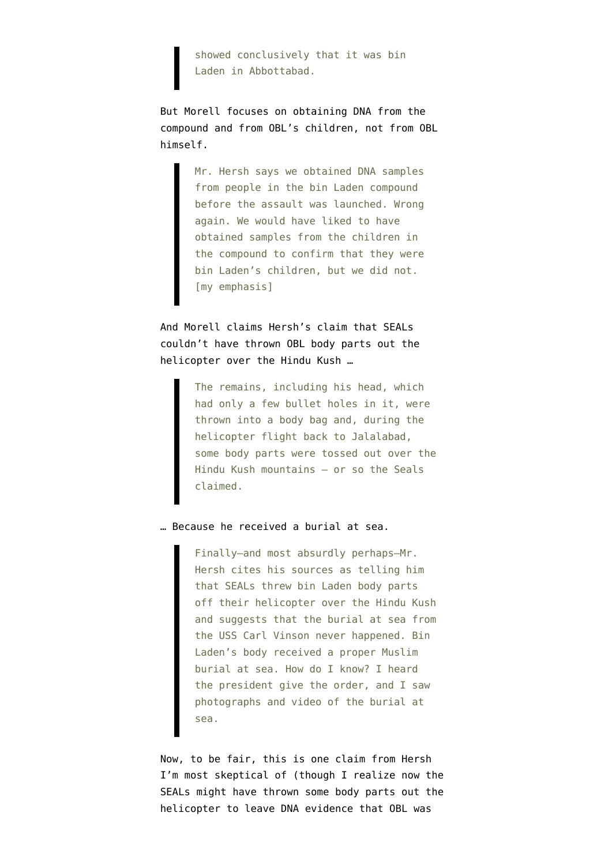showed conclusively that it was bin Laden in Abbottabad.

But Morell focuses on obtaining DNA from the compound and from OBL's children, not from OBL himself.

> Mr. Hersh says we obtained DNA samples from people in the bin Laden compound before the assault was launched. Wrong again. We would have liked to have obtained samples from the children in the compound to confirm that they were bin Laden's children, but we did not. [my emphasis]

And Morell claims Hersh's claim that SEALs couldn't have thrown OBL body parts out the helicopter over the Hindu Kush …

> The remains, including his head, which had only a few bullet holes in it, were thrown into a body bag and, during the helicopter flight back to Jalalabad, some body parts were tossed out over the Hindu Kush mountains – or so the Seals claimed.

… Because he received a burial at sea.

Finally—and most absurdly perhaps—Mr. Hersh cites his sources as telling him that SEALs threw bin Laden body parts off their helicopter over the Hindu Kush and suggests that the burial at sea from the USS Carl Vinson never happened. Bin Laden's body received a proper Muslim burial at sea. How do I know? I heard the president give the order, and I saw photographs and video of the burial at sea.

Now, to be fair, this is one claim from Hersh I'm most skeptical of (though I realize now the SEALs might have thrown some body parts out the helicopter to leave DNA evidence that OBL was